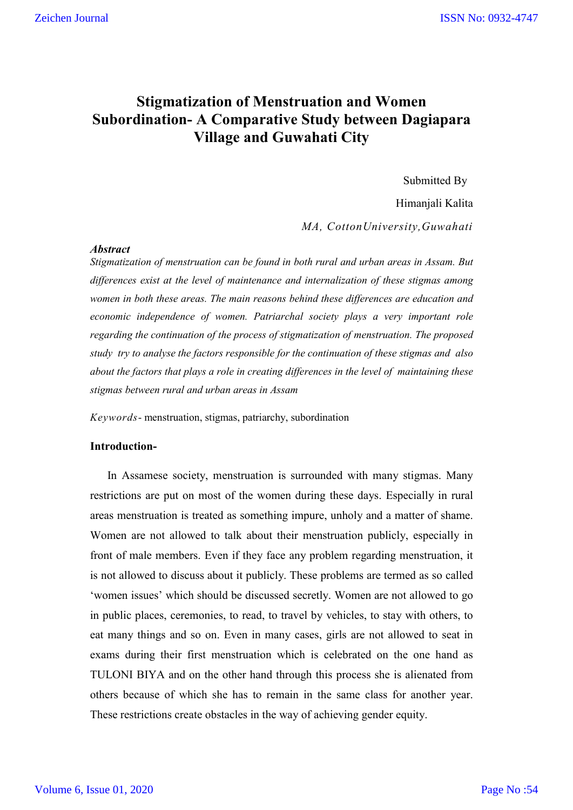# **Stigmatization of Menstruation and Women Subordination- A Comparative Study between Dagiapara Village and Guwahati City**

Submitted By

Himanjali Kalita

*MA, CottonUniversity,Guwahati*

## *Abstract*

*Stigmatization of menstruation can be found in both rural and urban areas in Assam. But differences exist at the level of maintenance and internalization of these stigmas among women in both these areas. The main reasons behind these differences are education and economic independence of women. Patriarchal society plays a very important role regarding the continuation of the process of stigmatization of menstruation. The proposed study try to analyse the factors responsible for the continuation of these stigmas and also about the factors that plays a role in creating differences in the level of maintaining these stigmas between rural and urban areas in Assam* 

*Keywords*- menstruation, stigmas, patriarchy, subordination

## **Introduction-**

In Assamese society, menstruation is surrounded with many stigmas. Many restrictions are put on most of the women during these days. Especially in rural areas menstruation is treated as something impure, unholy and a matter of shame. Women are not allowed to talk about their menstruation publicly, especially in front of male members. Even if they face any problem regarding menstruation, it is not allowed to discuss about it publicly. These problems are termed as so called 'women issues' which should be discussed secretly. Women are not allowed to go in public places, ceremonies, to read, to travel by vehicles, to stay with others, to eat many things and so on. Even in many cases, girls are not allowed to seat in exams during their first menstruation which is celebrated on the one hand as TULONI BIYA and on the other hand through this process she is alienated from others because of which she has to remain in the same class for another year. These restrictions create obstacles in the way of achieving gender equity.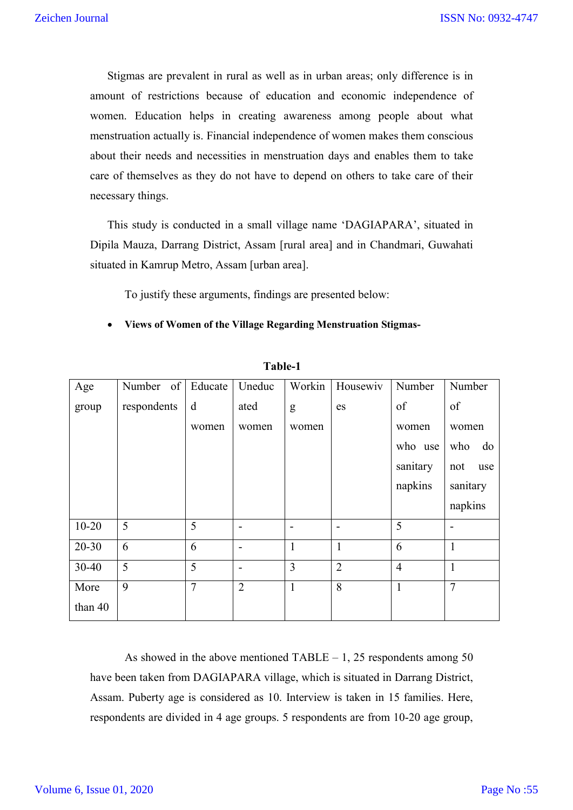Stigmas are prevalent in rural as well as in urban areas; only difference is in amount of restrictions because of education and economic independence of women. Education helps in creating awareness among people about what menstruation actually is. Financial independence of women makes them conscious about their needs and necessities in menstruation days and enables them to take care of themselves as they do not have to depend on others to take care of their necessary things.

This study is conducted in a small village name 'DAGIAPARA', situated in Dipila Mauza, Darrang District, Assam [rural area] and in Chandmari, Guwahati situated in Kamrup Metro, Assam [urban area].

To justify these arguments, findings are presented below:

**Views of Women of the Village Regarding Menstruation Stigmas-**

| Age       | Number of   | Educate        | Uneduc                   | Workin         | Housewiv                 | Number         | Number         |  |
|-----------|-------------|----------------|--------------------------|----------------|--------------------------|----------------|----------------|--|
| group     | respondents | d              | ated                     | g              | es                       | of             | of             |  |
|           |             | women          | women                    | women          |                          | women          | women          |  |
|           |             |                |                          |                |                          | who use        | who<br>do      |  |
|           |             |                |                          |                |                          | sanitary       | not<br>use     |  |
|           |             |                |                          |                |                          | napkins        | sanitary       |  |
|           |             |                |                          |                |                          |                | napkins        |  |
| $10 - 20$ | 5           | 5              | $\overline{\phantom{0}}$ | $\blacksquare$ | $\overline{\phantom{0}}$ | 5              | ۰              |  |
| $20 - 30$ | 6           | 6              | $\overline{\phantom{0}}$ | $\mathbf{1}$   | $\mathbf{1}$             | 6              | $\mathbf{1}$   |  |
| $30 - 40$ | 5           | 5              | $\overline{\phantom{0}}$ | $\overline{3}$ | $\overline{2}$           | $\overline{4}$ | $\mathbf{1}$   |  |
| More      | 9           | $\overline{7}$ | $\overline{2}$           | $\mathbf{1}$   | 8                        | 1              | $\overline{7}$ |  |
| than 40   |             |                |                          |                |                          |                |                |  |

 **Table-1**

As showed in the above mentioned TABLE – 1, 25 respondents among 50 have been taken from DAGIAPARA village, which is situated in Darrang District, Assam. Puberty age is considered as 10. Interview is taken in 15 families. Here, respondents are divided in 4 age groups. 5 respondents are from 10-20 age group,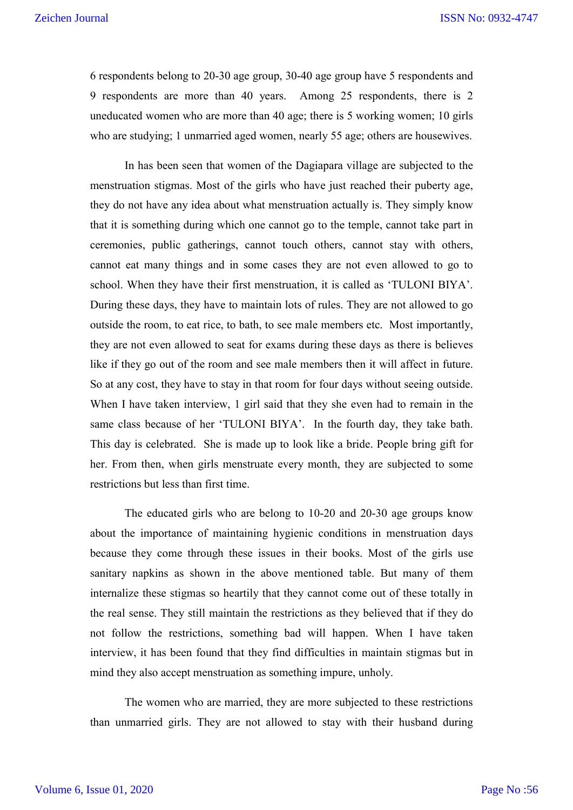6 respondents belong to 20-30 age group, 30-40 age group have 5 respondents and 9 respondents are more than 40 years. Among 25 respondents, there is 2 uneducated women who are more than 40 age; there is 5 working women; 10 girls who are studying; 1 unmarried aged women, nearly 55 age; others are housewives.

In has been seen that women of the Dagiapara village are subjected to the menstruation stigmas. Most of the girls who have just reached their puberty age, they do not have any idea about what menstruation actually is. They simply know that it is something during which one cannot go to the temple, cannot take part in ceremonies, public gatherings, cannot touch others, cannot stay with others, cannot eat many things and in some cases they are not even allowed to go to school. When they have their first menstruation, it is called as 'TULONI BIYA'. During these days, they have to maintain lots of rules. They are not allowed to go outside the room, to eat rice, to bath, to see male members etc. Most importantly, they are not even allowed to seat for exams during these days as there is believes like if they go out of the room and see male members then it will affect in future. So at any cost, they have to stay in that room for four days without seeing outside. When I have taken interview, 1 girl said that they she even had to remain in the same class because of her 'TULONI BIYA'. In the fourth day, they take bath. This day is celebrated. She is made up to look like a bride. People bring gift for her. From then, when girls menstruate every month, they are subjected to some restrictions but less than first time.

The educated girls who are belong to 10-20 and 20-30 age groups know about the importance of maintaining hygienic conditions in menstruation days because they come through these issues in their books. Most of the girls use sanitary napkins as shown in the above mentioned table. But many of them internalize these stigmas so heartily that they cannot come out of these totally in the real sense. They still maintain the restrictions as they believed that if they do not follow the restrictions, something bad will happen. When I have taken interview, it has been found that they find difficulties in maintain stigmas but in mind they also accept menstruation as something impure, unholy.

The women who are married, they are more subjected to these restrictions than unmarried girls. They are not allowed to stay with their husband during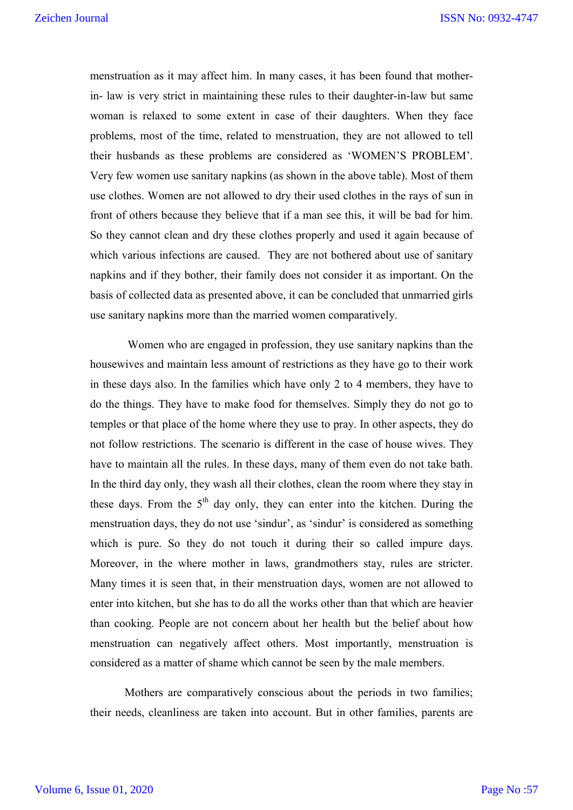menstruation as it may affect him. In many cases, it has been found that motherin- law is very strict in maintaining these rules to their daughter-in-law but same woman is relaxed to some extent in case of their daughters. When they face problems, most of the time, related to menstruation, they are not allowed to tell their husbands as these problems are considered as 'WOMEN'S PROBLEM'. Very few women use sanitary napkins (as shown in the above table). Most of them use clothes. Women are not allowed to dry their used clothes in the rays of sun in front of others because they believe that if a man see this, it will be bad for him. So they cannot clean and dry these clothes properly and used it again because of which various infections are caused. They are not bothered about use of sanitary napkins and if they bother, their family does not consider it as important. On the basis of collected data as presented above, it can be concluded that unmarried girls use sanitary napkins more than the married women comparatively.

Women who are engaged in profession, they use sanitary napkins than the housewives and maintain less amount of restrictions as they have go to their work in these days also. In the families which have only 2 to 4 members, they have to do the things. They have to make food for themselves. Simply they do not go to temples or that place of the home where they use to pray. In other aspects, they do not follow restrictions. The scenario is different in the case of house wives. They have to maintain all the rules. In these days, many of them even do not take bath. In the third day only, they wash all their clothes, clean the room where they stay in these days. From the  $5<sup>th</sup>$  day only, they can enter into the kitchen. During the menstruation days, they do not use 'sindur', as 'sindur' is considered as something which is pure. So they do not touch it during their so called impure days. Moreover, in the where mother in laws, grandmothers stay, rules are stricter. Many times it is seen that, in their menstruation days, women are not allowed to enter into kitchen, but she has to do all the works other than that which are heavier than cooking. People are not concern about her health but the belief about how menstruation can negatively affect others. Most importantly, menstruation is considered as a matter of shame which cannot be seen by the male members.

Mothers are comparatively conscious about the periods in two families; their needs, cleanliness are taken into account. But in other families, parents are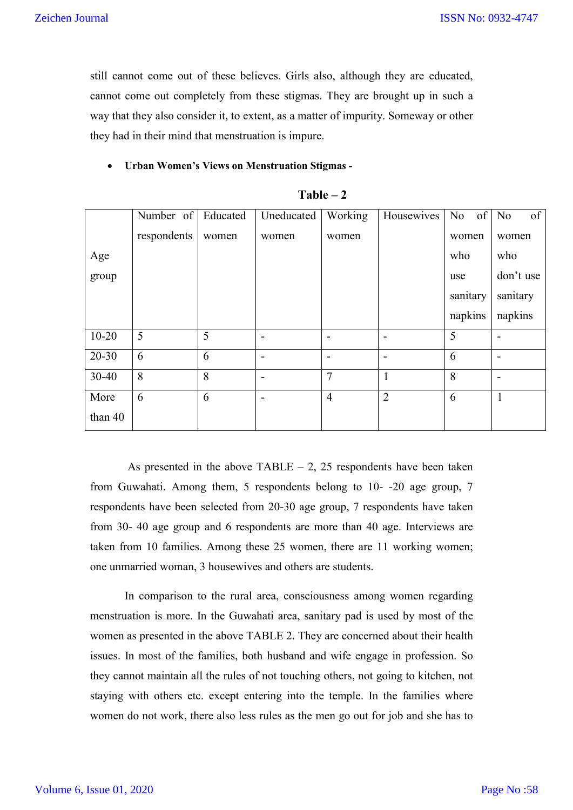still cannot come out of these believes. Girls also, although they are educated, cannot come out completely from these stigmas. They are brought up in such a way that they also consider it, to extent, as a matter of impurity. Someway or other they had in their mind that menstruation is impure.

### **Urban Women's Views on Menstruation Stigmas -**

|           | Number of   | Educated | Uneducated               | Working                  | Housewives               | of<br>N <sub>o</sub> | of<br>N <sub>o</sub> |
|-----------|-------------|----------|--------------------------|--------------------------|--------------------------|----------------------|----------------------|
|           | respondents | women    | women                    | women                    |                          | women                | women                |
| Age       |             |          |                          |                          |                          | who                  | who                  |
| group     |             |          |                          |                          |                          | use                  | don't use            |
|           |             |          |                          |                          |                          | sanitary             | sanitary             |
|           |             |          |                          |                          |                          | napkins              | napkins              |
| $10 - 20$ | 5           | 5        | $\overline{\phantom{a}}$ | $\blacksquare$           | $\overline{\phantom{0}}$ | 5                    |                      |
| $20 - 30$ | 6           | 6        | $\overline{\phantom{a}}$ | $\overline{\phantom{0}}$ | $\blacksquare$           | 6                    |                      |
| $30 - 40$ | 8           | 8        | $\overline{\phantom{a}}$ | 7                        | 1                        | 8                    |                      |
| More      | 6           | 6        | $\blacksquare$           | $\overline{4}$           | $\overline{2}$           | 6                    | 1                    |
| than 40   |             |          |                          |                          |                          |                      |                      |

 $Table - 2$ 

As presented in the above  $TABLE - 2$ , 25 respondents have been taken from Guwahati. Among them, 5 respondents belong to 10- -20 age group, 7 respondents have been selected from 20-30 age group, 7 respondents have taken from 30- 40 age group and 6 respondents are more than 40 age. Interviews are taken from 10 families. Among these 25 women, there are 11 working women; one unmarried woman, 3 housewives and others are students.

In comparison to the rural area, consciousness among women regarding menstruation is more. In the Guwahati area, sanitary pad is used by most of the women as presented in the above TABLE 2. They are concerned about their health issues. In most of the families, both husband and wife engage in profession. So they cannot maintain all the rules of not touching others, not going to kitchen, not staying with others etc. except entering into the temple. In the families where women do not work, there also less rules as the men go out for job and she has to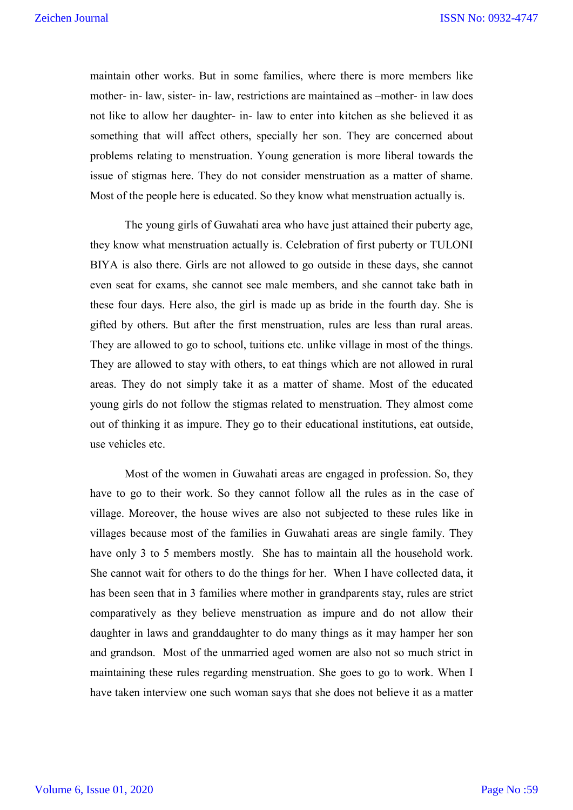maintain other works. But in some families, where there is more members like mother- in- law, sister- in- law, restrictions are maintained as –mother- in law does not like to allow her daughter- in- law to enter into kitchen as she believed it as something that will affect others, specially her son. They are concerned about problems relating to menstruation. Young generation is more liberal towards the issue of stigmas here. They do not consider menstruation as a matter of shame. Most of the people here is educated. So they know what menstruation actually is.

The young girls of Guwahati area who have just attained their puberty age, they know what menstruation actually is. Celebration of first puberty or TULONI BIYA is also there. Girls are not allowed to go outside in these days, she cannot even seat for exams, she cannot see male members, and she cannot take bath in these four days. Here also, the girl is made up as bride in the fourth day. She is gifted by others. But after the first menstruation, rules are less than rural areas. They are allowed to go to school, tuitions etc. unlike village in most of the things. They are allowed to stay with others, to eat things which are not allowed in rural areas. They do not simply take it as a matter of shame. Most of the educated young girls do not follow the stigmas related to menstruation. They almost come out of thinking it as impure. They go to their educational institutions, eat outside, use vehicles etc.

Most of the women in Guwahati areas are engaged in profession. So, they have to go to their work. So they cannot follow all the rules as in the case of village. Moreover, the house wives are also not subjected to these rules like in villages because most of the families in Guwahati areas are single family. They have only 3 to 5 members mostly. She has to maintain all the household work. She cannot wait for others to do the things for her. When I have collected data, it has been seen that in 3 families where mother in grandparents stay, rules are strict comparatively as they believe menstruation as impure and do not allow their daughter in laws and granddaughter to do many things as it may hamper her son and grandson. Most of the unmarried aged women are also not so much strict in maintaining these rules regarding menstruation. She goes to go to work. When I have taken interview one such woman says that she does not believe it as a matter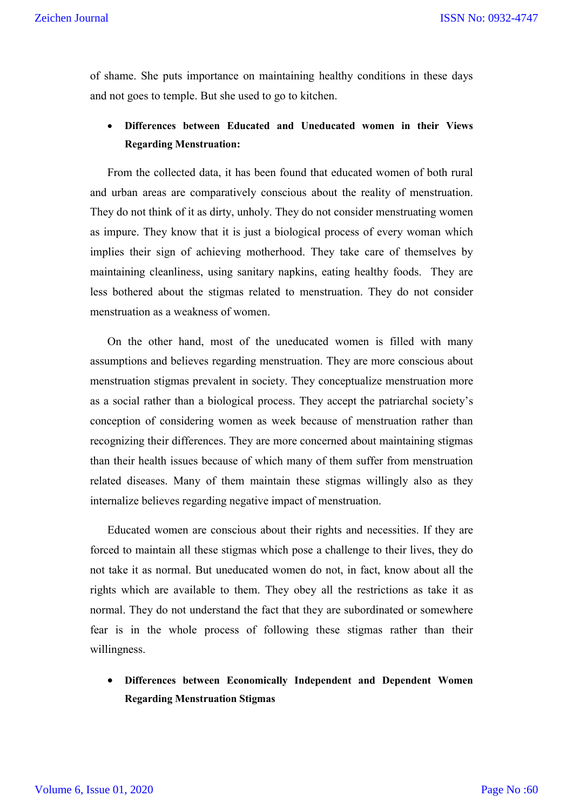of shame. She puts importance on maintaining healthy conditions in these days and not goes to temple. But she used to go to kitchen.

## **Differences between Educated and Uneducated women in their Views Regarding Menstruation:**

From the collected data, it has been found that educated women of both rural and urban areas are comparatively conscious about the reality of menstruation. They do not think of it as dirty, unholy. They do not consider menstruating women as impure. They know that it is just a biological process of every woman which implies their sign of achieving motherhood. They take care of themselves by maintaining cleanliness, using sanitary napkins, eating healthy foods. They are less bothered about the stigmas related to menstruation. They do not consider menstruation as a weakness of women.

On the other hand, most of the uneducated women is filled with many assumptions and believes regarding menstruation. They are more conscious about menstruation stigmas prevalent in society. They conceptualize menstruation more as a social rather than a biological process. They accept the patriarchal society's conception of considering women as week because of menstruation rather than recognizing their differences. They are more concerned about maintaining stigmas than their health issues because of which many of them suffer from menstruation related diseases. Many of them maintain these stigmas willingly also as they internalize believes regarding negative impact of menstruation.

Educated women are conscious about their rights and necessities. If they are forced to maintain all these stigmas which pose a challenge to their lives, they do not take it as normal. But uneducated women do not, in fact, know about all the rights which are available to them. They obey all the restrictions as take it as normal. They do not understand the fact that they are subordinated or somewhere fear is in the whole process of following these stigmas rather than their willingness.

 **Differences between Economically Independent and Dependent Women Regarding Menstruation Stigmas**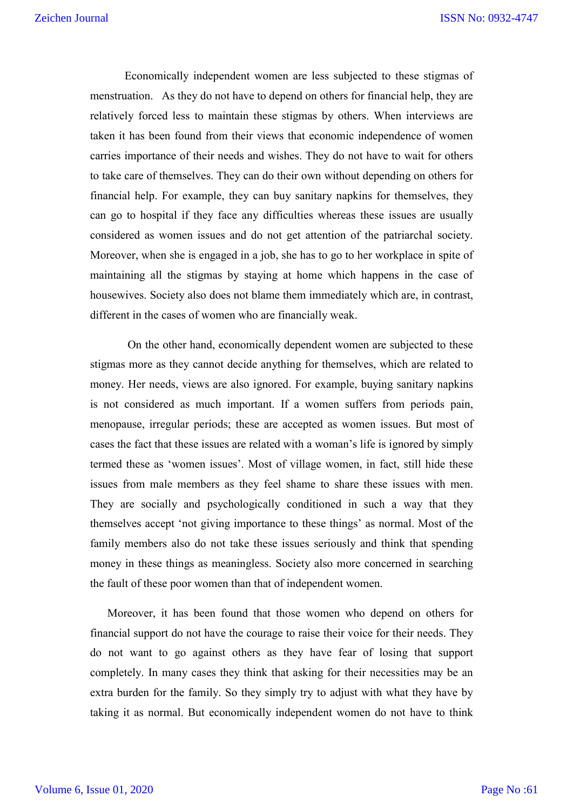Economically independent women are less subjected to these stigmas of menstruation. As they do not have to depend on others for financial help, they are relatively forced less to maintain these stigmas by others. When interviews are taken it has been found from their views that economic independence of women carries importance of their needs and wishes. They do not have to wait for others to take care of themselves. They can do their own without depending on others for financial help. For example, they can buy sanitary napkins for themselves, they can go to hospital if they face any difficulties whereas these issues are usually considered as women issues and do not get attention of the patriarchal society. Moreover, when she is engaged in a job, she has to go to her workplace in spite of maintaining all the stigmas by staying at home which happens in the case of housewives. Society also does not blame them immediately which are, in contrast, different in the cases of women who are financially weak.

On the other hand, economically dependent women are subjected to these stigmas more as they cannot decide anything for themselves, which are related to money. Her needs, views are also ignored. For example, buying sanitary napkins is not considered as much important. If a women suffers from periods pain, menopause, irregular periods; these are accepted as women issues. But most of cases the fact that these issues are related with a woman's life is ignored by simply termed these as 'women issues'. Most of village women, in fact, still hide these issues from male members as they feel shame to share these issues with men. They are socially and psychologically conditioned in such a way that they themselves accept 'not giving importance to these things' as normal. Most of the family members also do not take these issues seriously and think that spending money in these things as meaningless. Society also more concerned in searching the fault of these poor women than that of independent women.

Moreover, it has been found that those women who depend on others for financial support do not have the courage to raise their voice for their needs. They do not want to go against others as they have fear of losing that support completely. In many cases they think that asking for their necessities may be an extra burden for the family. So they simply try to adjust with what they have by taking it as normal. But economically independent women do not have to think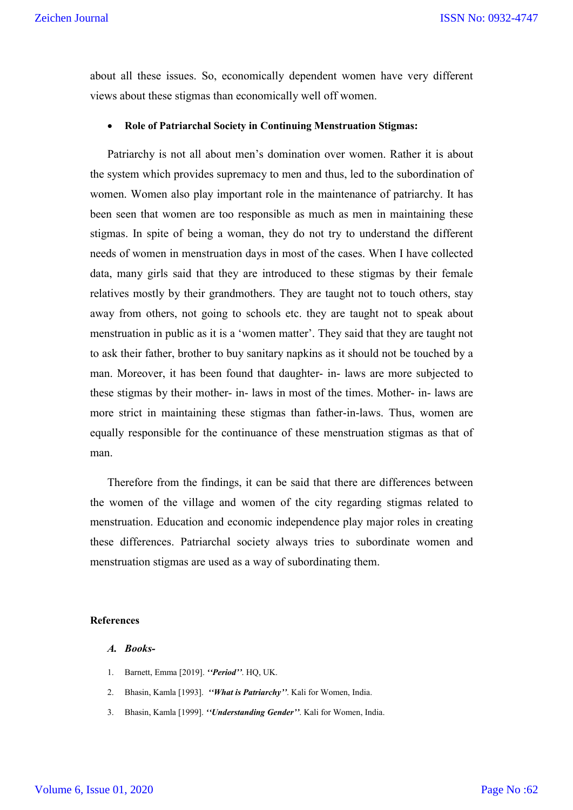about all these issues. So, economically dependent women have very different views about these stigmas than economically well off women.

## **Role of Patriarchal Society in Continuing Menstruation Stigmas:**

Patriarchy is not all about men's domination over women. Rather it is about the system which provides supremacy to men and thus, led to the subordination of women. Women also play important role in the maintenance of patriarchy. It has been seen that women are too responsible as much as men in maintaining these stigmas. In spite of being a woman, they do not try to understand the different needs of women in menstruation days in most of the cases. When I have collected data, many girls said that they are introduced to these stigmas by their female relatives mostly by their grandmothers. They are taught not to touch others, stay away from others, not going to schools etc. they are taught not to speak about menstruation in public as it is a 'women matter'. They said that they are taught not to ask their father, brother to buy sanitary napkins as it should not be touched by a man. Moreover, it has been found that daughter- in- laws are more subjected to these stigmas by their mother- in- laws in most of the times. Mother- in- laws are more strict in maintaining these stigmas than father-in-laws. Thus, women are equally responsible for the continuance of these menstruation stigmas as that of man.

Therefore from the findings, it can be said that there are differences between the women of the village and women of the city regarding stigmas related to menstruation. Education and economic independence play major roles in creating these differences. Patriarchal society always tries to subordinate women and menstruation stigmas are used as a way of subordinating them.

#### **References**

## *A. Books-*

- 1. Barnett, Emma [2019]. *''Period''*. HQ, UK.
- 2. Bhasin, Kamla [1993]. *''What is Patriarchy''*. Kali for Women, India.
- 3. Bhasin, Kamla [1999]. *''Understanding Gender''*. Kali for Women, India.